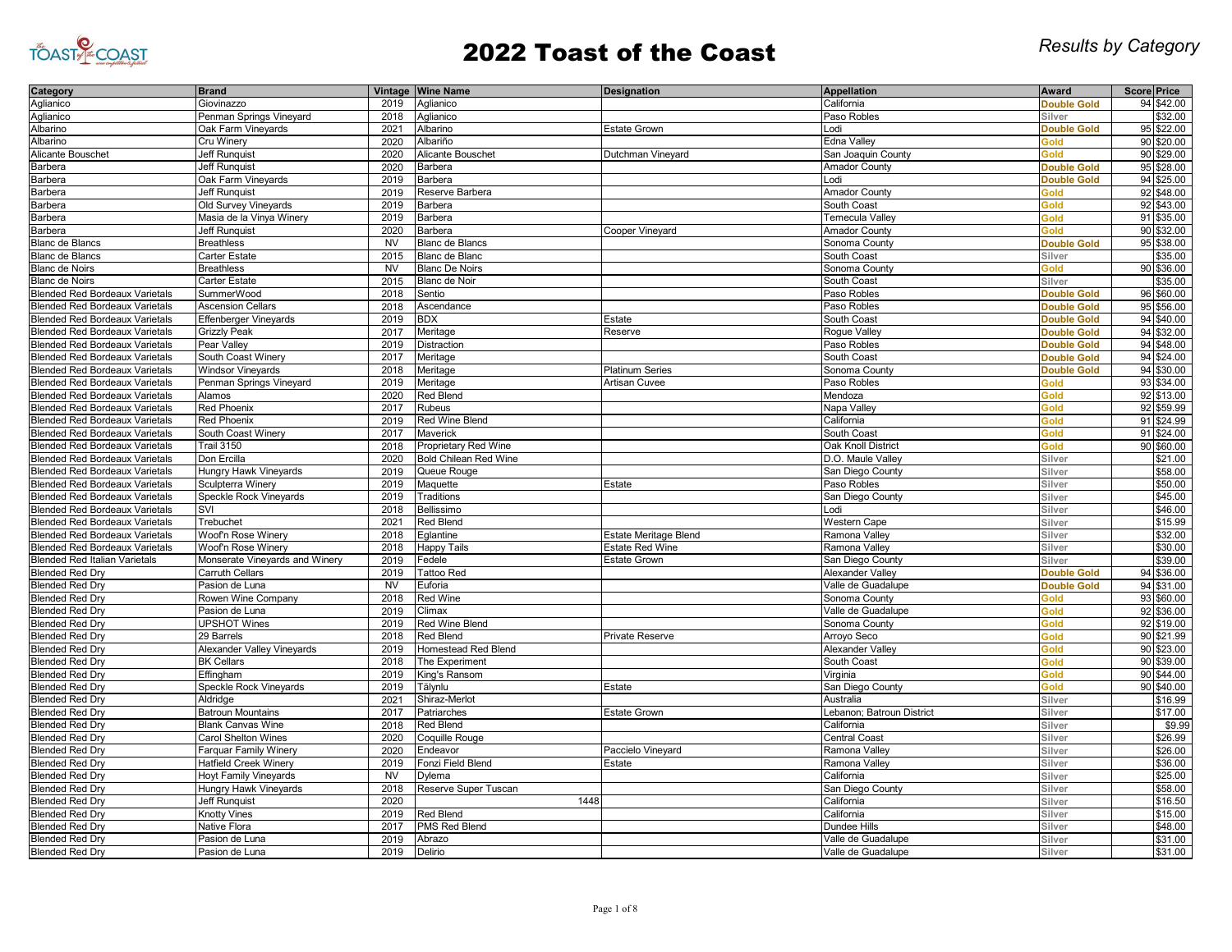

| Category                              | <b>Brand</b>                   |           | Vintage Wine Name            | <b>Designation</b>           | Appellation                     | Award              | <b>Score Price</b>       |
|---------------------------------------|--------------------------------|-----------|------------------------------|------------------------------|---------------------------------|--------------------|--------------------------|
| Aglianico                             | Giovinazzo                     | 2019      | Aglianico                    |                              | California                      | <b>Double Gold</b> | 94 \$42.00               |
| Aglianico                             | Penman Springs Vineyard        | 2018      | Aglianico                    |                              | Paso Robles                     | Silver             | \$32.00                  |
| Albarino                              | Oak Farm Vineyards             | 2021      | Albarino                     | <b>Estate Grown</b>          | Lodi                            | <b>Double Gold</b> | 95 \$22.00               |
| Albarino                              | Cru Winery                     | 2020      | Albariño                     |                              | Edna Valley                     | <b>Gold</b>        | 90 \$20.00               |
| Alicante Bouschet                     | Jeff Runquist                  | 2020      | Alicante Bouschet            | Dutchman Vineyard            | San Joaquin County              | Gold               | 90 \$29.00               |
| Barbera                               | <b>Jeff Runauist</b>           | 2020      | <b>Barbera</b>               |                              | <b>Amador County</b>            | <b>Double Gold</b> | 95 \$28.00               |
| Barbera                               | Oak Farm Vineyards             | 2019      | Barbera                      |                              | Lodi                            | <b>Double Gold</b> | 94 \$25.00               |
| Barbera                               | Jeff Runquist                  | 2019      | Reserve Barbera              |                              | <b>Amador County</b>            | <b>Gold</b>        | 92 \$48.00               |
| Barbera                               | Old Survey Vineyards           | 2019      | Barbera                      |                              | South Coast                     | Gold               | 92 \$43.00               |
| Barbera                               | Masia de la Vinya Winery       | 2019      | Barbera                      |                              | Temecula Valley                 | Gold               | 91 \$35.00               |
| Barbera                               | <b>Jeff Runquist</b>           | 2020      | Barbera                      | Cooper Vineyard              | <b>Amador County</b>            | Gold               | 90 \$32.00               |
| <b>Blanc de Blancs</b>                | <b>Breathless</b>              | <b>NV</b> | <b>Blanc de Blancs</b>       |                              | Sonoma County                   | <b>Double Gold</b> | 95 \$38.00               |
| <b>Blanc de Blancs</b>                | Carter Estate                  | 2015      | Blanc de Blanc               |                              | South Coast                     | Silver             | \$35.00                  |
| <b>Blanc de Noirs</b>                 | <b>Breathless</b>              | <b>NV</b> | <b>Blanc De Noirs</b>        |                              | Sonoma County                   | Gold               | 90 \$36.00               |
| <b>Blanc de Noirs</b>                 | Carter Estate                  | 2015      | <b>Blanc de Noir</b>         |                              | South Coast                     | Silver             | \$35.00                  |
| <b>Blended Red Bordeaux Varietals</b> | SummerWood                     | 2018      | Sentio                       |                              | Paso Robles                     | <b>Double Gold</b> | 96 \$60.00               |
|                                       |                                | 2018      |                              |                              |                                 |                    |                          |
| <b>Blended Red Bordeaux Varietals</b> | <b>Ascension Cellars</b>       |           | Ascendance                   |                              | Paso Robles                     | <b>Double Gold</b> | 95 \$56.00               |
| <b>Blended Red Bordeaux Varietals</b> | Effenberger Vineyards          | 2019      | <b>BDX</b>                   | Estate                       | South Coast                     | <b>Double Gold</b> | 94 \$40.00               |
| <b>Blended Red Bordeaux Varietals</b> | <b>Grizzly Peak</b>            | 2017      | Meritage                     | Reserve                      | Rogue Valley                    | <b>Double Gold</b> | 94 \$32.00               |
| <b>Blended Red Bordeaux Varietals</b> | Pear Valley                    | 2019      | Distraction                  |                              | Paso Robles                     | <b>Double Gold</b> | 94 \$48.00               |
| <b>Blended Red Bordeaux Varietals</b> | South Coast Winery             | 2017      | Meritage                     |                              | South Coast                     | <b>Double Gold</b> | 94 \$24.00               |
| <b>Blended Red Bordeaux Varietals</b> | <b>Windsor Vineyards</b>       | 2018      | Meritage                     | <b>Platinum Series</b>       | Sonoma County                   | <b>Double Gold</b> | 94 \$30.00               |
| <b>Blended Red Bordeaux Varietals</b> | Penman Springs Vineyard        | 2019      | Meritage                     | Artisan Cuvee                | Paso Robles                     | Gold               | 93 \$34.00               |
| <b>Blended Red Bordeaux Varietals</b> | Alamos                         | 2020      | <b>Red Blend</b>             |                              | Mendoza                         | <b>Gold</b>        | 92 \$13.00               |
| <b>Blended Red Bordeaux Varietals</b> | <b>Red Phoenix</b>             | 2017      | Rubeus                       |                              | Napa Valley                     | <b>Gold</b>        | 92 \$59.99               |
| <b>Blended Red Bordeaux Varietals</b> | <b>Red Phoenix</b>             | 2019      | Red Wine Blend               |                              | California                      | <b>Gold</b>        | 91 \$24.99               |
| <b>Blended Red Bordeaux Varietals</b> | South Coast Winery             | 2017      | Maverick                     |                              | South Coast                     | Gold               | 91 \$24.00               |
| <b>Blended Red Bordeaux Varietals</b> | <b>Trail 3150</b>              | 2018      | <b>Proprietary Red Wine</b>  |                              | Oak Knoll District              | Gold               | 90 \$60.00               |
| <b>Blended Red Bordeaux Varietals</b> | Don Ercilla                    | 2020      | <b>Bold Chilean Red Wine</b> |                              | D.O. Maule Valley               | Silver             | \$21.00                  |
| <b>Blended Red Bordeaux Varietals</b> | Hungry Hawk Vineyards          | 2019      | Queue Rouge                  |                              | San Diego County                | Silver             | \$58.00                  |
| <b>Blended Red Bordeaux Varietals</b> | Sculpterra Winery              | 2019      | Maquette                     | Estate                       | Paso Robles                     | Silver             | \$50.00                  |
| <b>Blended Red Bordeaux Varietals</b> | Speckle Rock Vineyards         | 2019      | Traditions                   |                              | San Diego County                | Silver             | \$45.00                  |
| <b>Blended Red Bordeaux Varietals</b> | SVI                            | 2018      | Bellissimo                   |                              | Lodi                            | Silver             | \$46.00                  |
| <b>Blended Red Bordeaux Varietals</b> | Trebuchet                      | 2021      | Red Blend                    |                              | <b>Western Cape</b>             | Silver             | \$15.99                  |
| <b>Blended Red Bordeaux Varietals</b> | Woof'n Rose Winery             | 2018      | Eglantine                    | <b>Estate Meritage Blend</b> | Ramona Valley                   | Silver             | \$32.00                  |
| <b>Blended Red Bordeaux Varietals</b> | Woof'n Rose Winery             | 2018      | <b>Happy Tails</b>           | <b>Estate Red Wine</b>       | Ramona Valley                   | Silver             | \$30.00                  |
| <b>Blended Red Italian Varietals</b>  | Monserate Vineyards and Winery | 2019      | Fedele                       | <b>Estate Grown</b>          | San Diego County                | Silver             | \$39.00                  |
| <b>Blended Red Dry</b>                | Carruth Cellars                | 2019      | <b>Tattoo Red</b>            |                              | <b>Alexander Valley</b>         | <b>Double Gold</b> | 94 \$36.00               |
| <b>Blended Red Dry</b>                | Pasion de Luna                 | <b>NV</b> | Euforia                      |                              | Valle de Guadalupe              | <b>Double Gold</b> | 94 \$31.00               |
| <b>Blended Red Dry</b>                | Rowen Wine Company             | 2018      | Red Wine                     |                              | Sonoma County                   | Gold               | 93 \$60.00               |
| <b>Blended Red Dry</b>                | Pasion de Luna                 | 2019      | Climax                       |                              | Valle de Guadalupe              | Gold               | 92 \$36.00               |
| <b>Blended Red Dry</b>                | <b>UPSHOT Wines</b>            | 2019      | <b>Red Wine Blend</b>        |                              | Sonoma County                   | <b>Gold</b>        | 92 \$19.00               |
| <b>Blended Red Dry</b>                | 29 Barrels                     | 2018      | <b>Red Blend</b>             | <b>Private Reserve</b>       |                                 | Gold               |                          |
| <b>Blended Red Drv</b>                | Alexander Valley Vineyards     | 2019      | Homestead Red Blend          |                              | Arroyo Seco<br>Alexander Valley | Gold               | 90 \$21.99<br>90 \$23.00 |
|                                       |                                | 2018      |                              |                              |                                 | <b>Gold</b>        | 90 \$39.00               |
| <b>Blended Red Dry</b>                | <b>BK Cellars</b>              |           | The Experiment               |                              | South Coast                     |                    |                          |
| <b>Blended Red Dry</b>                | Effingham                      | 2019      | King's Ransom                |                              | Virginia                        | Gold               | 90 \$44.00               |
| <b>Blended Red Dry</b>                | <b>Speckle Rock Vineyards</b>  | 2019      | Tälynlu                      | Estate                       | San Diego County                | Gold               | 90 \$40.00               |
| <b>Blended Red Dry</b>                | Aldridge                       | 2021      | Shiraz-Merlot                |                              | Australia                       | Silver             | \$16.99                  |
| <b>Blended Red Dry</b>                | Batroun Mountains              | 2017      | Patriarches                  | <b>Estate Grown</b>          | Lebanon; Batroun District       | Silver             | \$17.00                  |
| <b>Blended Red Dry</b>                | <b>Blank Canvas Wine</b>       | 2018      | Red Blend                    |                              | California                      | Silver             | \$9.99                   |
| <b>Blended Red Dry</b>                | <b>Carol Shelton Wines</b>     | 2020      | Coquille Rouge               |                              | <b>Central Coast</b>            | Silver             | \$26.99                  |
| <b>Blended Red Dry</b>                | Farquar Family Winery          | 2020      | Endeavor                     | Paccielo Vineyard            | Ramona Valley                   | Silver             | \$26.00                  |
| <b>Blended Red Dry</b>                | <b>Hatfield Creek Winery</b>   | 2019      | Fonzi Field Blend            | Estate                       | Ramona Valley                   | Silver             | \$36.00                  |
| <b>Blended Red Dry</b>                | <b>Hoyt Family Vineyards</b>   | <b>NV</b> | Dylema                       |                              | California                      | Silver             | \$25.00                  |
| <b>Blended Red Dry</b>                | Hungry Hawk Vineyards          | 2018      | Reserve Super Tuscan         |                              | San Diego County                | Silver             | \$58.00                  |
| <b>Blended Red Dry</b>                | <b>Jeff Runquist</b>           | 2020      | 1448                         |                              | California                      | Silver             | \$16.50                  |
| <b>Blended Red Dry</b>                | <b>Knotty Vines</b>            | 2019      | <b>Red Blend</b>             |                              | California                      | Silver             | \$15.00                  |
| <b>Blended Red Dry</b>                | Native Flora                   | 2017      | PMS Red Blend                |                              | <b>Dundee Hills</b>             | Silver             | \$48.00                  |
| <b>Blended Red Dry</b>                | Pasion de Luna                 | 2019      | Abrazo                       |                              | Valle de Guadalupe              | Silver             | \$31.00                  |
| <b>Blended Red Dry</b>                | Pasion de Luna                 | 2019      | Delirio                      |                              | Valle de Guadalupe              | Silver             | \$31.00                  |
|                                       |                                |           |                              |                              |                                 |                    |                          |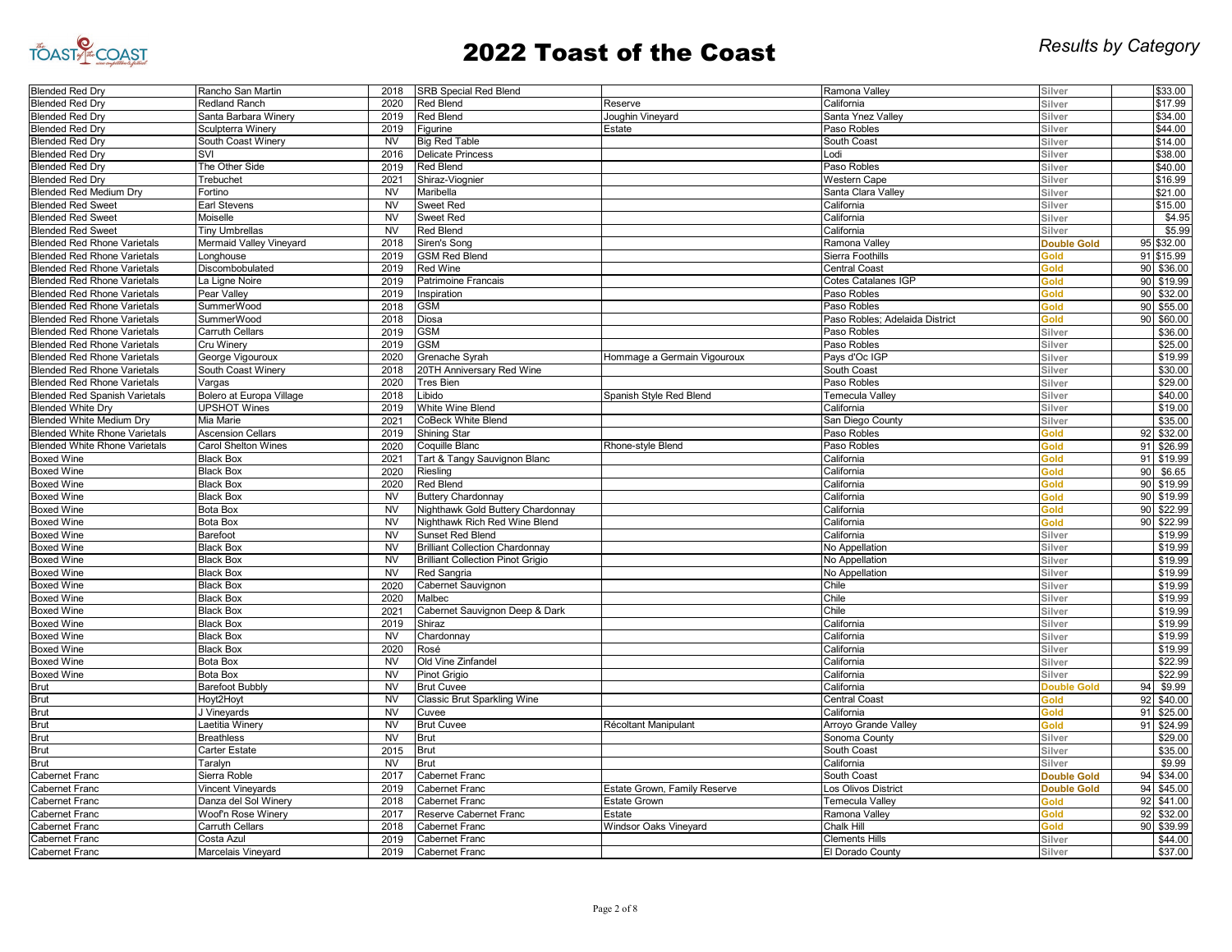

| <b>Blended Red Dry</b>               | Rancho San Martin          | 2018                   | <b>SRB Special Red Blend</b>             |                              | Ramona Valley                  | Silver             |    | \$33.00            |
|--------------------------------------|----------------------------|------------------------|------------------------------------------|------------------------------|--------------------------------|--------------------|----|--------------------|
| <b>Blended Red Dry</b>               | Redland Ranch              | 2020                   | <b>Red Blend</b>                         | Reserve                      | California                     | Silver             |    | \$17.99            |
| <b>Blended Red Drv</b>               | Santa Barbara Winery       | 2019                   | Red Blend                                | Joughin Vineyard             | Santa Ynez Valley              | Silver             |    | \$34.00            |
| <b>Blended Red Dry</b>               | Sculpterra Winery          | 2019                   | Figurine                                 | Estate                       | Paso Robles                    | Silver             |    | \$44.00            |
| <b>Blended Red Dry</b>               | South Coast Winery         | <b>NV</b>              | <b>Big Red Table</b>                     |                              | South Coast                    | Silver             |    | \$14.00            |
| <b>Blended Red Dry</b>               | SVI                        | 2016                   | <b>Delicate Princess</b>                 |                              | Lodi                           | Silver             |    | \$38.00            |
| <b>Blended Red Dry</b>               | The Other Side             | 2019                   | Red Blend                                |                              | Paso Robles                    | Silver             |    | \$40.00            |
| <b>Blended Red Dry</b>               | Trebuchet                  | 2021                   | Shiraz-Viognier                          |                              | <b>Western Cape</b>            | Silver             |    | \$16.99            |
| <b>Blended Red Medium Dry</b>        | Fortino                    | <b>NV</b>              | Maribella                                |                              | Santa Clara Valley             | Silver             |    | \$21.00            |
| <b>Blended Red Sweet</b>             | Earl Stevens               | <b>NV</b>              | Sweet Red                                |                              | California                     | Silver             |    | \$15.00            |
| <b>Blended Red Sweet</b>             | Moiselle                   | <b>NV</b>              | Sweet Red                                |                              | California                     | Silver             |    | \$4.95             |
| <b>Blended Red Sweet</b>             | <b>Tiny Umbrellas</b>      | <b>NV</b>              | Red Blend                                |                              | California                     | Silver             |    | \$5.99             |
| <b>Blended Red Rhone Varietals</b>   | Mermaid Valley Vineyard    | 2018                   | Siren's Song                             |                              | Ramona Valley                  | <b>Double Gold</b> | 95 | \$32.00            |
| <b>Blended Red Rhone Varietals</b>   | Longhouse                  | 2019                   | <b>GSM Red Blend</b>                     |                              | Sierra Foothills               | Gold               |    | 91 \$15.99         |
| <b>Blended Red Rhone Varietals</b>   | Discombobulated            | 2019                   | <b>Red Wine</b>                          |                              | <b>Central Coast</b>           | Gold               | 90 | \$36.00            |
| <b>Blended Red Rhone Varietals</b>   | La Ligne Noire             | 2019                   | Patrimoine Francais                      |                              | Cotes Catalanes IGP            | Gold               | 90 | \$19.99            |
| <b>Blended Red Rhone Varietals</b>   | Pear Valley                | 2019                   | Inspiration                              |                              | Paso Robles                    | Gold               | 90 | \$32.00            |
| <b>Blended Red Rhone Varietals</b>   | SummerWood                 | 2018                   | GSM                                      |                              | Paso Robles                    | bloê               | 90 | \$55.00            |
| <b>Blended Red Rhone Varietals</b>   | SummerWood                 | 2018                   | Diosa                                    |                              | Paso Robles; Adelaida District | <b>Gold</b>        | 90 | \$60.00            |
|                                      | <b>Carruth Cellars</b>     | 2019                   | <b>GSM</b>                               |                              | Paso Robles                    |                    |    | \$36.00            |
| <b>Blended Red Rhone Varietals</b>   |                            |                        |                                          |                              |                                | Silver             |    |                    |
| <b>Blended Red Rhone Varietals</b>   | Cru Winery                 | 2019<br>2020           | <b>GSM</b>                               |                              | Paso Robles<br>Pays d'Oc IGF   | Silver             |    | \$25.00<br>\$19.99 |
| <b>Blended Red Rhone Varietals</b>   | George Vigouroux           |                        | Grenache Syrah                           | Hommage a Germain Vigouroux  |                                | Silver             |    |                    |
| <b>Blended Red Rhone Varietals</b>   | South Coast Winery         | 2018                   | 20TH Anniversary Red Wine                |                              | South Coast                    | Silver             |    | \$30.00            |
| <b>Blended Red Rhone Varietals</b>   | Vargas                     | 2020                   | Tres Bien                                |                              | Paso Robles                    | Silver             |    | \$29.00            |
| <b>Blended Red Spanish Varietals</b> | Bolero at Europa Village   | 2018                   | Libido                                   | Spanish Style Red Blend      | <b>Temecula Valley</b>         | Silver             |    | \$40.00            |
| <b>Blended White Dry</b>             | <b>UPSHOT Wines</b>        | 2019                   | White Wine Blend                         |                              | California                     | Silver             |    | \$19.00            |
| <b>Blended White Medium Drv</b>      | Mia Marie                  | 2021                   | CoBeck White Blend                       |                              | San Diego County               | Silver             |    | \$35.00            |
| <b>Blended White Rhone Varietals</b> | <b>Ascension Cellars</b>   | 2019                   | Shining Star                             |                              | Paso Robles                    | Gold               | 92 | \$32.00            |
| <b>Blended White Rhone Varietals</b> | <b>Carol Shelton Wines</b> | 2020                   | Coquille Blanc                           | Rhone-style Blend            | Paso Robles                    | Gold               | 91 | \$26.99            |
| <b>Boxed Wine</b>                    | <b>Black Box</b>           | 2021                   | Tart & Tangy Sauvignon Blanc             |                              | California                     | Gold               | 91 | \$19.99            |
| <b>Boxed Wine</b>                    | <b>Black Box</b>           | 2020                   | Riesling                                 |                              | California                     | <b>Gold</b>        | 90 | \$6.65             |
| <b>Boxed Wine</b>                    | <b>Black Box</b>           | 2020                   | <b>Red Blend</b>                         |                              | California                     | Gold               | 90 | \$19.99            |
| <b>Boxed Wine</b>                    | <b>Black Box</b>           | <b>NV</b>              | <b>Buttery Chardonnay</b>                |                              | California                     | Gold               | 90 | \$19.99            |
| <b>Boxed Wine</b>                    | <b>Bota Box</b>            | <b>NV</b>              | Nighthawk Gold Buttery Chardonnay        |                              | California                     | Gold               | 90 | \$22.99            |
| <b>Boxed Wine</b>                    | <b>Bota Box</b>            | <b>NV</b>              | Nighthawk Rich Red Wine Blend            |                              | California                     | Gold               | 90 | \$22.99            |
| <b>Boxed Wine</b>                    | Barefoot                   | <b>NV</b>              | Sunset Red Blend                         |                              | California                     | Silver             |    | \$19.99            |
| <b>Boxed Wine</b>                    | <b>Black Box</b>           | <b>NV</b>              | <b>Brilliant Collection Chardonnay</b>   |                              | No Appellation                 | Silver             |    | \$19.99            |
| <b>Boxed Wine</b>                    | <b>Black Box</b>           | <b>NV</b>              | <b>Brilliant Collection Pinot Grigio</b> |                              | No Appellation                 | Silver             |    | \$19.99            |
| <b>Boxed Wine</b>                    | <b>Black Box</b>           | N <sub>V</sub>         | Red Sangria                              |                              | No Appellation                 | Silver             |    | \$19.99            |
| <b>Boxed Wine</b>                    | <b>Black Box</b>           | 2020                   | Cabernet Sauvignon                       |                              | Chile                          | Silver             |    | \$19.99            |
| <b>Boxed Wine</b>                    | <b>Black Box</b>           | 2020                   | Malbec                                   |                              | Chile                          | Silver             |    | \$19.99            |
| <b>Boxed Wine</b>                    | <b>Black Box</b>           | 2021                   | Cabernet Sauvignon Deep & Dark           |                              | Chile                          | Silver             |    | \$19.99            |
| <b>Boxed Wine</b>                    | <b>Black Box</b>           | 2019                   | Shiraz                                   |                              | California                     | Silver             |    | \$19.99            |
| <b>Boxed Wine</b>                    | <b>Black Box</b>           | <b>NV</b>              | Chardonnay                               |                              | California                     | Silver             |    | \$19.99            |
| <b>Boxed Wine</b>                    | <b>Black Box</b>           | 2020                   | Rosé                                     |                              | California                     | Silver             |    | \$19.99            |
| <b>Boxed Wine</b>                    | Bota Box                   | <b>NV</b>              | Old Vine Zinfandel                       |                              | California                     | Silver             |    | \$22.99            |
| <b>Boxed Wine</b>                    | Bota Box                   | <b>NV</b>              | Pinot Grigio                             |                              | California                     | Silver             |    | \$22.99            |
| <b>Brut</b>                          | <b>Barefoot Bubbly</b>     | <b>NV</b>              | <b>Brut Cuvee</b>                        |                              | California                     | <b>Double Gold</b> | 94 | \$9.99             |
| <b>Brut</b>                          | Hoyt2Hoyt                  | <b>NV</b>              | <b>Classic Brut Sparkling Wine</b>       |                              | Central Coast                  | Gold               | 92 | \$40.00            |
| <b>Brut</b>                          | J Vineyards                | $\overline{\text{NV}}$ | Cuvee                                    |                              | California                     | Gold               | 91 | \$25.00            |
| <b>Brut</b>                          | Laetitia Winery            | <b>NV</b>              | <b>Brut Cuvee</b>                        | Récoltant Manipulant         | Arroyo Grande Valley           | Gold               | 91 | \$24.99            |
| Brut                                 | <b>Breathless</b>          | <b>NV</b>              | <b>Brut</b>                              |                              | Sonoma County                  | Silver             |    | \$29.00            |
| <b>Brut</b>                          | Carter Estate              | 2015                   | <b>Brut</b>                              |                              | South Coast                    | Silver             |    | \$35.00            |
| <b>Brut</b>                          | Taralyn                    | <b>NV</b>              | Brut                                     |                              | California                     | Silver             |    | \$9.99             |
| Cabernet Franc                       | Sierra Roble               | 2017                   | Cabernet Franc                           |                              | South Coast                    |                    | 94 | \$34.00            |
|                                      |                            |                        |                                          |                              |                                | <b>Double Gold</b> |    |                    |
| Cabernet Franc                       | Vincent Vineyards          | 2019                   | <b>Cabernet Franc</b>                    | Estate Grown, Family Reserve | Los Olivos District            | <b>Double Gold</b> | 94 | \$45.00            |
| <b>Cabernet Franc</b>                | Danza del Sol Winery       | 2018                   | Cabernet Franc                           | <b>Estate Grown</b>          | Temecula Valley                | Gold               | 92 | \$41.00            |
| Cabernet Franc                       | Woof'n Rose Winery         | 2017                   | Reserve Cabernet Franc                   | Estate                       | Ramona Valley                  | Gold               | 92 | \$32.00            |
| Cabernet Franc                       | Carruth Cellars            | 2018                   | Cabernet Franc                           | Windsor Oaks Vineyard        | Chalk Hill                     | Gold               | 90 | \$39.99            |
| <b>Cabernet Franc</b>                | Costa Azul                 | 2019                   | Cabernet Franc                           |                              | <b>Clements Hills</b>          | Silver             |    | \$44.00            |
| <b>Cabernet Franc</b>                | Marcelais Vineyard         | 2019                   | <b>Cabernet Franc</b>                    |                              | El Dorado County               | Silver             |    | \$37.00            |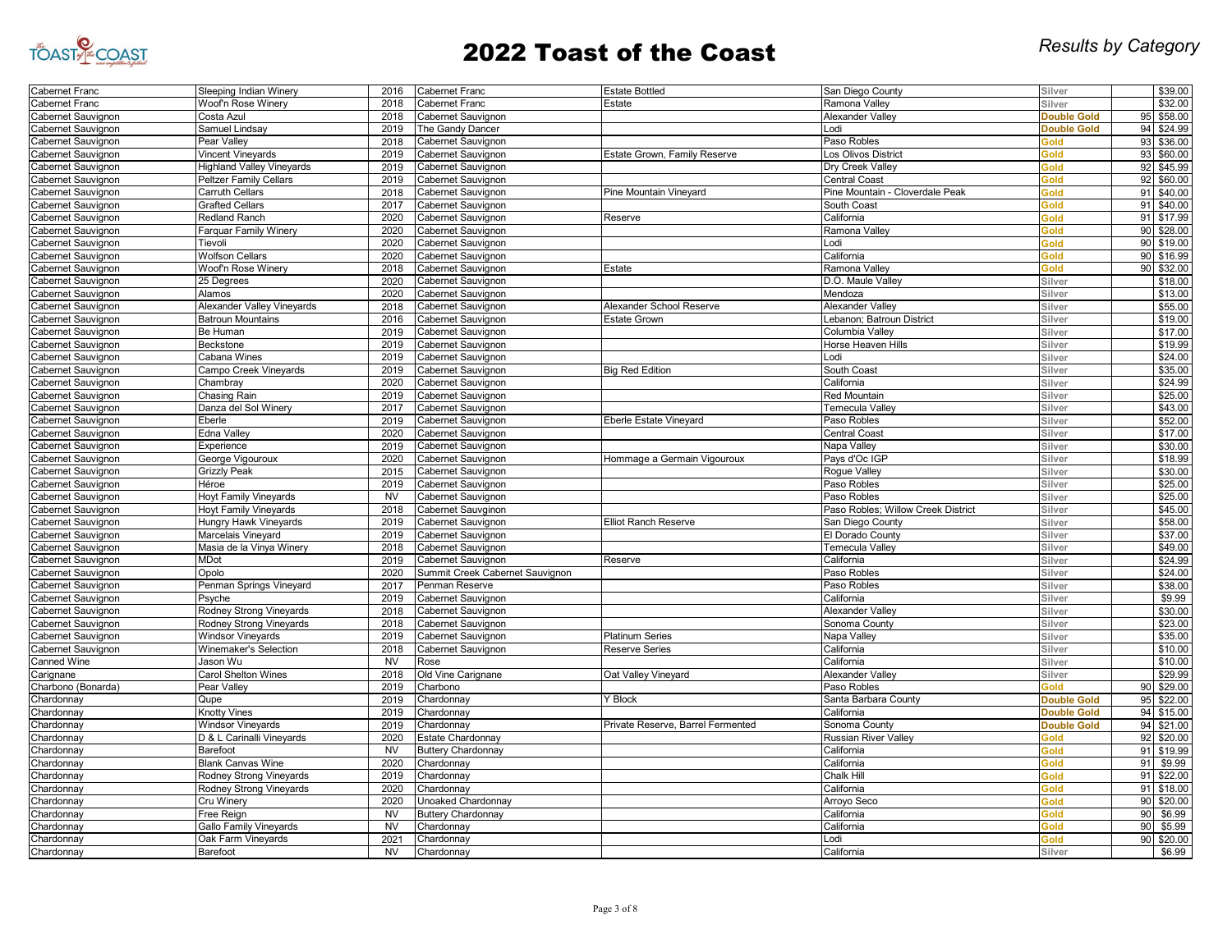

| Cabernet Franc     | Sleeping Indian Winery           | 2016           | Cabernet Franc                  | <b>Estate Bottled</b>             | San Diego County                   | Silver             |    | \$39.00    |
|--------------------|----------------------------------|----------------|---------------------------------|-----------------------------------|------------------------------------|--------------------|----|------------|
| abernet Franc      | Woof'n Rose Winery               | 2018           | Cabernet Franc                  | Estate                            | Ramona Valley                      | Silver             |    | \$32.00    |
| Cabernet Sauvignon | Costa Azul                       | 2018           | Cabernet Sauvignon              |                                   | Alexander Valley                   | <b>Double Gold</b> |    | 95 \$58.00 |
| Cabernet Sauvignon | Samuel Lindsay                   | 2019           | The Gandy Dancer                |                                   | Lodi                               | <b>Double Gold</b> | 94 | \$24.99    |
| abernet Sauvignon  | Pear Valley                      | 2018           | abernet Sauvignon               |                                   | Paso Robles                        | Gold               | 93 | \$36.00    |
| Cabernet Sauvignon | Vincent Vineyards                | 2019           | abernet Sauvignon               | Estate Grown, Family Reserve      | Los Olivos District                | Gold               | 93 | \$60.00    |
| Cabernet Sauvignon | <b>Highland Valley Vineyards</b> | 2019           | abernet Sauvignon               |                                   | Dry Creek Valley                   | Gold               |    | 92 \$45.99 |
| abernet Sauvignon  | <b>Peltzer Family Cellars</b>    | 2019           | Cabernet Sauvignon              |                                   | <b>Central Coast</b>               | Gold               |    | 92 \$60.00 |
| abernet Sauvignon  | <b>Carruth Cellars</b>           | 2018           | abernet Sauvignon'              | Pine Mountain Vineyard            | Pine Mountain - Cloverdale Peak    | Gold               | 91 | \$40.00    |
| Cabernet Sauvignon | <b>Grafted Cellars</b>           | 2017           | Cabernet Sauvignon              |                                   | South Coast                        | Gold               | 91 | \$40.00    |
| abernet Sauvignon' | <b>Redland Ranch</b>             | 2020           | abernet Sauvignon               | Reserve                           | California                         | Gold               | 91 | \$17.99    |
| abernet Sauvignon  | Farquar Family Winery            | 2020           | Cabernet Sauvignon              |                                   | Ramona Valley                      | Gold               | 90 | \$28.00    |
|                    | Tievoli                          |                |                                 |                                   | Lodi                               | Gold               | 90 | \$19.00    |
| Cabernet Sauvignon |                                  | 2020           | abernet Sauvignon               |                                   |                                    |                    |    |            |
| abernet Sauvignon  | <b>Wolfson Cellars</b>           | 2020           | Cabernet Sauvignon              |                                   | California                         | Gold               |    | 90 \$16.99 |
| Cabernet Sauvignon | Woof'n Rose Winery               | 2018           | Cabernet Sauvignon              | Estate                            | Ramona Valley                      | Gold               | 90 | \$32.00    |
| Cabernet Sauvignon | 25 Degrees                       | 2020           | abernet Sauvignon               |                                   | D.O. Maule Valley                  | Silver             |    | \$18.00    |
| Cabernet Sauvignon | Alamos                           | 2020           | Cabernet Sauvignon              |                                   | Mendoza                            | Silver             |    | \$13.00    |
| Cabernet Sauvignon | Alexander Valley Vineyards       | 2018           | Cabernet Sauvignon              | Alexander School Reserve          | Alexander Valley                   | Silver             |    | \$55.00    |
| abernet Sauvignon  | <b>Batroun Mountains</b>         | 2016           | Cabernet Sauvignon              | <b>Estate Grown</b>               | Lebanon; Batroun District          | Silver             |    | \$19.00    |
| abernet Sauvignon  | Be Human                         | 2019           | abernet Sauvignon'              |                                   | Columbia Vallev                    | Silver             |    | \$17.00    |
| Cabernet Sauvignon | Beckstone                        | 2019           | Cabernet Sauvignon              |                                   | Horse Heaven Hills                 | Silver             |    | \$19.99    |
| Cabernet Sauvignon | Cabana Wines                     | 2019           | Cabernet Sauvignon              |                                   | Lodi                               | Silver             |    | \$24.00    |
| abernet Sauvignon  | Campo Creek Vineyards            | 2019           | Cabernet Sauvignon              | <b>Big Red Edition</b>            | South Coast                        | Silver             |    | \$35.00    |
| abernet Sauvignon  | Chambray                         | 2020           | abernet Sauvignon               |                                   | California                         | Silver             |    | \$24.99    |
| Cabernet Sauvignon | Chasing Rain                     | 2019           | abernet Sauvignon'              |                                   | <b>Red Mountain</b>                | Silver             |    | \$25.00    |
| Cabernet Sauvignon | Danza del Sol Winery             | 2017           | Cabernet Sauvignon              |                                   | Temecula Valley                    | Silver             |    | \$43.00    |
| abernet Sauvignon' | Eberle                           | 2019           | Cabernet Sauvignon              | Eberle Estate Vineyard            | Paso Robles                        | Silver             |    | \$52.00    |
| abernet Sauvignon  | Edna Valley                      | 2020           | Cabernet Sauvignon              |                                   | Central Coast                      | Silver             |    | \$17.00    |
| abernet Sauvignon  | Experience                       | 2019           | abernet Sauvignon'              |                                   | Napa Valley                        | Silver             |    | \$30.00    |
| Cabernet Sauvignon | George Vigouroux                 | 2020           | Cabernet Sauvignon              | Hommage a Germain Vigouroux       | Pays d'Oc IGP                      | Silver             |    | \$18.99    |
| abernet Sauvignon  | <b>Grizzly Peak</b>              | 2015           | Cabernet Sauvignon              |                                   | Rogue Valley                       | Silver             |    | \$30.00    |
| abernet Sauvignon  | Héroe                            | 2019           | Cabernet Sauvignon              |                                   | Paso Robles                        | Silver             |    | \$25.00    |
| Cabernet Sauvignon | <b>Hoyt Family Vineyards</b>     | <b>NV</b>      | abernet Sauvignon               |                                   | Paso Robles                        | Silver             |    | \$25.00    |
| Cabernet Sauvignon | <b>Hoyt Family Vineyards</b>     | 2018           | abernet Sauvginon               |                                   | Paso Robles; Willow Creek District | Silver             |    | \$45.00    |
| Cabernet Sauvignon | Hungry Hawk Vineyards            | 2019           | abernet Sauvignon               | <b>Elliot Ranch Reserve</b>       | San Diego County                   | Silver             |    | \$58.00    |
| Cabernet Sauvignon | Marcelais Vineyard               | 2019           | abernet Sauvignon'              |                                   | El Dorado County                   | Silver             |    | \$37.00    |
| abernet Sauvignon  | Masia de la Vinya Winery         | 2018           | Cabernet Sauvignon              |                                   | Temecula Valley                    | Silver             |    | \$49.00    |
| abernet Sauvignon  | <b>MDot</b>                      | 2019           | abernet Sauvignon'              | Reserve                           | California                         | Silver             |    | \$24.99    |
|                    | Opolo                            | 2020           | Summit Creek Cabernet Sauvignon |                                   | Paso Robles                        | Silver             |    | \$24.00    |
| Cabernet Sauvignon |                                  |                |                                 |                                   |                                    |                    |    | \$38.00    |
| Cabernet Sauvignon | Penman Springs Vineyard          | 2017           | Penman Reserve                  |                                   | Paso Robles                        | Silver             |    |            |
| Cabernet Sauvignon | Psyche                           | 2019           | Cabernet Sauvignon              |                                   | California                         | Silver             |    | \$9.99     |
| abernet Sauvignon  | Rodney Strong Vineyards          | 2018           | abernet Sauvignon'              |                                   | Alexander Valley                   | Silver             |    | \$30.00    |
| Cabernet Sauvignon | Rodney Strong Vineyards          | 2018           | abernet Sauvignon               |                                   | Sonoma County                      | Silver             |    | \$23.00    |
| Cabernet Sauvignon | <b>Windsor Vineyards</b>         | 2019           | Cabernet Sauvignon              | <b>Platinum Series</b>            | Napa Valley                        | Silver             |    | \$35.00    |
| Cabernet Sauvignon | Winemaker's Selection            | 2018           | Cabernet Sauvignon              | Reserve Series                    | California                         | Silver             |    | \$10.00    |
| Canned Wine        | Jason Wu                         | N <sub>V</sub> | Rose                            |                                   | California                         | Silver             |    | \$10.00    |
| Carignane          | Carol Shelton Wines              | 2018           | Old Vine Carignane              | Oat Valley Vineyard               | Alexander Vallev                   | Silver             |    | \$29.99    |
| Charbono (Bonarda) | Pear Vallev                      | 2019           | Charbono                        |                                   | Paso Robles                        | Gold               | 90 | \$29.00    |
| Chardonnay         | Qupe                             | 2019           | <b>Chardonnav</b>               | Y Block                           | Santa Barbara County               | <b>Double Gold</b> | 95 | \$22.00    |
| Chardonnay         | <b>Knotty Vines</b>              | 2019           | Chardonnay                      |                                   | California                         | <b>Double Gold</b> |    | 94 \$15.00 |
| Chardonnay         | <b>Windsor Vineyards</b>         | 2019           | Chardonnay                      | Private Reserve, Barrel Fermented | Sonoma County                      | <b>Double Gold</b> | 94 | \$21.00    |
| Chardonnay         | D & L Carinalli Vineyards        | 2020           | Estate Chardonnay               |                                   | Russian River Valley               | Gold               | 92 | \$20.00    |
| Chardonnay         | Barefoot                         | <b>NV</b>      | Buttery Chardonnay              |                                   | California                         | Gold               | 91 | \$19.99    |
| Chardonnay         | <b>Blank Canvas Wine</b>         | 2020           | Chardonnay                      |                                   | California                         | Gold               | 91 | \$9.99     |
| Chardonnay         | Rodney Strong Vineyards          | 2019           | Chardonnay                      |                                   | Chalk Hill                         | Gold               | 91 | \$22.00    |
| hardonnay          | Rodney Strong Vineyards          | 2020           | Chardonnay                      |                                   | California                         | Gold               | 91 | \$18.00    |
| Chardonnay         | Cru Winery                       | 2020           | Unoaked Chardonnay              |                                   | Arroyo Secc                        | Gold               | 90 | \$20.00    |
| Chardonnay         | Free Reign                       | <b>NV</b>      | Buttery Chardonnay              |                                   | California                         | Gold               | 90 | \$6.99     |
| Chardonnay         | Gallo Family Vineyards           | <b>NV</b>      | Chardonnay                      |                                   | California                         | Gold               | 90 | \$5.99     |
| Chardonnay         | Oak Farm Vinevards               | 2021           | Chardonnay                      |                                   | Lodi                               | Gold               | 90 | \$20.00    |
| Chardonnay         | Barefoot                         | <b>NV</b>      | Chardonnay                      |                                   | California                         | Silver             |    | \$6.99     |
|                    |                                  |                |                                 |                                   |                                    |                    |    |            |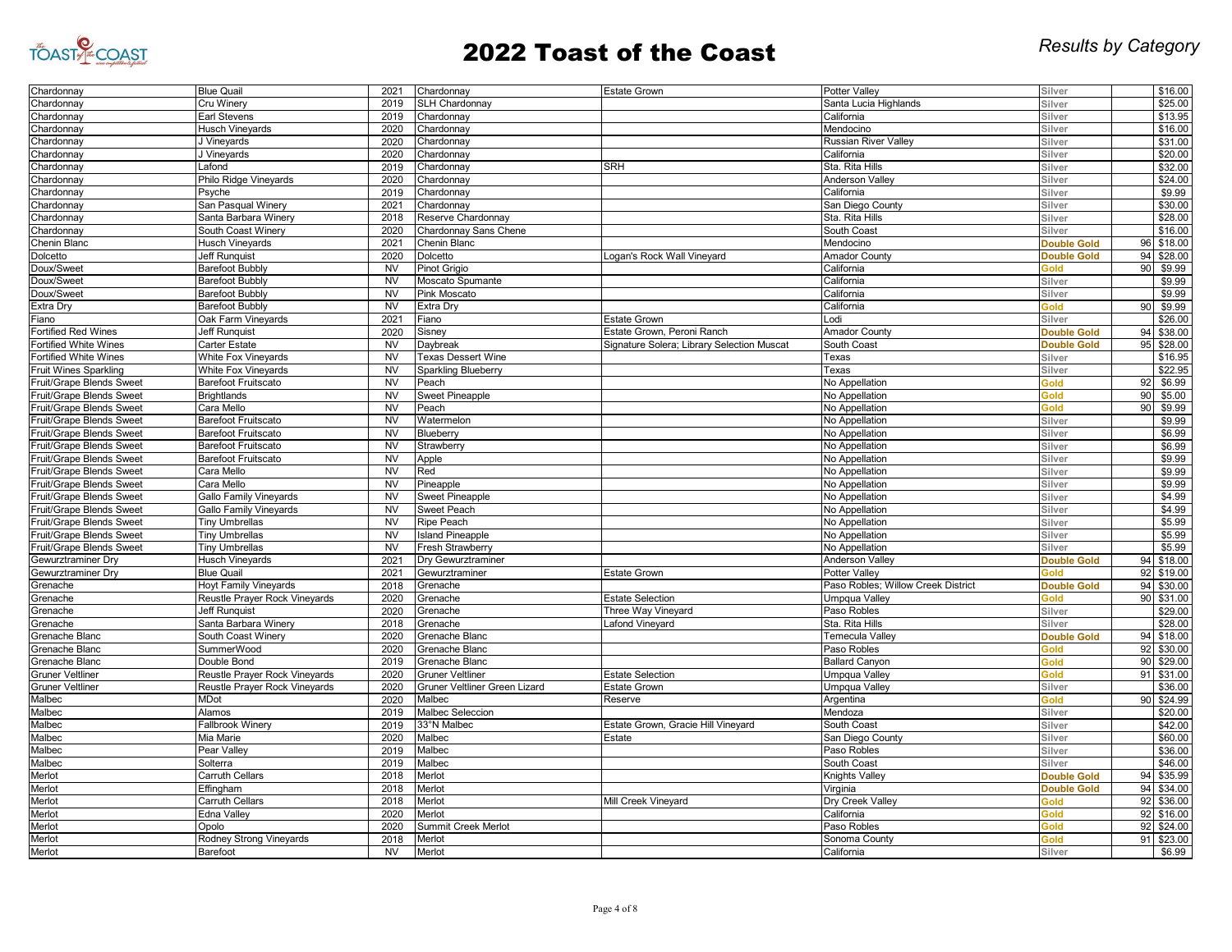

| Chardonnay                   | <b>Blue Quail</b>             | 2021      | Chardonnay                    | <b>Estate Grown</b>                        | <b>Potter Valley</b>               | Silver             |    | \$16.00    |
|------------------------------|-------------------------------|-----------|-------------------------------|--------------------------------------------|------------------------------------|--------------------|----|------------|
| Chardonnay                   | Cru Winery                    | 2019      | <b>SLH Chardonnay</b>         |                                            | Santa Lucia Highlands              | Silver             |    | \$25.00    |
| Chardonnay                   | Earl Stevens                  | 2019      | Chardonnay                    |                                            | California                         | Silver             |    | \$13.95    |
| Chardonnay                   | <b>Husch Vineyards</b>        | 2020      | Chardonnay                    |                                            | Mendocino                          | Silver             |    | \$16.00    |
| Chardonnay                   | J Vineyards                   | 2020      | Chardonnay                    |                                            | <b>Russian River Valley</b>        | Silver             |    | \$31.00    |
| Chardonnay                   | J Vineyards                   | 2020      | Chardonnay                    |                                            | California                         | Silver             |    | \$20.00    |
| Chardonnay                   | Lafond                        | 2019      | Chardonnay                    | <b>SRH</b>                                 | Sta. Rita Hills                    | Silver             |    | \$32.00    |
| Chardonnay                   | Philo Ridge Vineyards         | 2020      | Chardonnay                    |                                            | <b>Anderson Valley</b>             | Silver             |    | \$24.00    |
| Chardonnay                   | Psyche                        | 2019      | Chardonnay                    |                                            | California                         | Silver             |    | \$9.99     |
| Chardonnay                   | San Pasqual Winery            | 2021      | Chardonnay                    |                                            | San Diego County                   | Silver             |    | \$30.00    |
| Chardonnay                   | Santa Barbara Winery          | 2018      | Reserve Chardonnay            |                                            | Sta. Rita Hills                    | Silver             |    | \$28.00    |
| Chardonnay                   | South Coast Winery            | 2020      | Chardonnay Sans Chene         |                                            | South Coast                        | Silver             |    | \$16.00    |
| Chenin Blanc                 | <b>Husch Vineyards</b>        | 2021      | Chenin Blanc                  |                                            | Mendocino                          | <b>Double Gold</b> | 96 | \$18.00    |
| Dolcetto                     | <b>Jeff Runguist</b>          | 2020      | <b>Dolcetto</b>               | Logan's Rock Wall Vineyard                 | <b>Amador County</b>               | <b>Double Gold</b> | 94 | \$28.00    |
| Doux/Sweet                   | <b>Barefoot Bubbly</b>        | <b>NV</b> | Pinot Grigio                  |                                            | California                         | Gold               | 90 | \$9.99     |
| Doux/Sweet                   | Barefoot Bubbly               | <b>NV</b> | Moscato Spumante              |                                            | California                         | Silver             |    | \$9.99     |
| Doux/Sweet                   | <b>Barefoot Bubbly</b>        | <b>NV</b> | Pink Moscato                  |                                            | California                         | Silver             |    | \$9.99     |
| <b>Extra Dry</b>             | Barefoot Bubbly               | <b>NV</b> | Extra Dry                     |                                            | California                         | Gold               | 90 | \$9.99     |
|                              |                               |           |                               |                                            | Lodi                               | Silver             |    |            |
| Fiano                        | Oak Farm Vineyards            | 2021      | Fiano                         | <b>Estate Grown</b>                        |                                    |                    |    | \$26.00    |
| <b>Fortified Red Wines</b>   | Jeff Runquist                 | 2020      | Sisney                        | Estate Grown, Peroni Ranch                 | <b>Amador County</b>               | <b>Double Gold</b> | 94 | \$38.00    |
| Fortified White Wines        | Carter Estate                 | <b>NV</b> | Daybreak                      | Signature Solera; Library Selection Muscat | South Coast                        | <b>Double Gold</b> |    | 95 \$28.00 |
| <b>Fortified White Wines</b> | White Fox Vineyards           | <b>NV</b> | <b>Texas Dessert Wine</b>     |                                            | Texas                              | Silver             |    | \$16.95    |
| <b>Fruit Wines Sparkling</b> | <b>White Fox Vineyards</b>    | <b>NV</b> | <b>Sparkling Blueberry</b>    |                                            | Texas                              | Silver             |    | \$22.95    |
| Fruit/Grape Blends Sweet     | Barefoot Fruitscato           | <b>NV</b> | Peach                         |                                            | No Appellation                     | Gold               | 92 | \$6.99     |
| Fruit/Grape Blends Sweet     | <b>Brightlands</b>            | <b>NV</b> | Sweet Pineapple               |                                            | No Appellation                     | <b>Gold</b>        | 90 | \$5.00     |
| Fruit/Grape Blends Sweet     | Cara Mello                    | <b>NV</b> | Peach                         |                                            | No Appellation                     | <b>Gold</b>        | 90 | \$9.99     |
| Fruit/Grape Blends Sweet     | <b>Barefoot Fruitscato</b>    | <b>NV</b> | Watermelon                    |                                            | No Appellation                     | Silver             |    | \$9.99     |
| Fruit/Grape Blends Sweet     | <b>Barefoot Fruitscato</b>    | <b>NV</b> | Blueberry                     |                                            | No Appellation                     | Silver             |    | \$6.99     |
| Fruit/Grape Blends Sweet     | <b>Barefoot Fruitscato</b>    | <b>NV</b> | Strawberry                    |                                            | No Appellation                     | Silver             |    | \$6.99     |
| Fruit/Grape Blends Sweet     | <b>Barefoot Fruitscato</b>    | <b>NV</b> | Apple                         |                                            | No Appellation                     | Silver             |    | \$9.99     |
| Fruit/Grape Blends Sweet     | Cara Mello                    | <b>NV</b> | Red                           |                                            | No Appellation                     | Silver             |    | \$9.99     |
| Fruit/Grape Blends Sweet     | Cara Mello                    | <b>NV</b> | Pineapple                     |                                            | No Appellation                     | Silver             |    | \$9.99     |
| Fruit/Grape Blends Sweet     | Gallo Family Vineyards        | <b>NV</b> | <b>Sweet Pineapple</b>        |                                            | No Appellation                     | Silver             |    | \$4.99     |
| Fruit/Grape Blends Sweet     | Gallo Family Vineyards        | <b>NV</b> | Sweet Peach                   |                                            | No Appellation                     | Silver             |    | \$4.99     |
| Fruit/Grape Blends Sweet     | <b>Tiny Umbrellas</b>         | <b>NV</b> | <b>Ripe Peach</b>             |                                            | No Appellation                     | Silver             |    | \$5.99     |
| Fruit/Grape Blends Sweet     | <b>Tiny Umbrellas</b>         | <b>NV</b> | <b>Island Pineapple</b>       |                                            | No Appellation                     | Silver             |    | \$5.99     |
| Fruit/Grape Blends Sweet     | <b>Tiny Umbrellas</b>         | <b>NV</b> | Fresh Strawberry              |                                            | No Appellation                     | Silver             |    | \$5.99     |
| Gewurztraminer Dry           | <b>Husch Vineyards</b>        | 2021      | Dry Gewurztraminer            |                                            | Anderson Valley                    | <b>Double Gold</b> | 94 | \$18.00    |
| Gewurztraminer Dry           | <b>Blue Quail</b>             | 2021      | Gewurztraminer                | <b>Estate Grown</b>                        | Potter Valley                      | <b>Gold</b>        | 92 | \$19.00    |
| Grenache                     | <b>Hoyt Family Vineyards</b>  | 2018      | Grenache                      |                                            | Paso Robles; Willow Creek District | <b>Double Gold</b> | 94 | \$30.00    |
|                              |                               | 2020      | Grenache                      | <b>Estate Selection</b>                    |                                    | Gold               | 90 | \$31.00    |
| Grenache                     | Reustle Prayer Rock Vineyards |           |                               |                                            | Umpqua Valley<br>Paso Robles       |                    |    | \$29.00    |
| Grenache                     | Jeff Runquist                 | 2020      | Grenache                      | Three Way Vineyard                         |                                    | Silver             |    |            |
| Grenache                     | Santa Barbara Winery          | 2018      | Grenache                      | Lafond Vineyard                            | Sta. Rita Hills                    | Silver             |    | \$28.00    |
| Grenache Blanc               | South Coast Winery            | 2020      | Grenache Blanc                |                                            | <b>Temecula Valley</b>             | <b>Double Gold</b> |    | 94 \$18.00 |
| Grenache Blanc               | SummerWood                    | 2020      | Grenache Blanc                |                                            | Paso Robles                        | Gold               | 92 | \$30.00    |
| Grenache Blanc               | Double Bond                   | 2019      | Grenache Blanc                |                                            | <b>Ballard Canyon</b>              | Gold               | 90 | \$29.00    |
| <b>Gruner Veltliner</b>      | Reustle Prayer Rock Vineyards | 2020      | <b>Gruner Veltliner</b>       | <b>Estate Selection</b>                    | Umpgua Valley                      | bloś               | 91 | \$31.00    |
| <b>Gruner Veltliner</b>      | Reustle Prayer Rock Vineyards | 2020      | Gruner Veltliner Green Lizard | <b>Estate Grown</b>                        | Umpqua Valley                      | Silver             |    | \$36.00    |
| Malbec                       | MDot                          | 2020      | Malbec                        | Reserve                                    | Argentina                          | Gold               | 90 | \$24.99    |
| Malbec                       | Alamos                        | 2019      | Malbec Seleccion              |                                            | Mendoza                            | Silver             |    | \$20.00    |
| Malbec                       | Fallbrook Winery              | 2019      | 33°N Malbec                   | Estate Grown, Gracie Hill Vineyard         | South Coast                        | Silver             |    | \$42.00    |
| Malbec                       | Mia Marie                     | 2020      | Malbec                        | Estate                                     | San Diego County                   | Silver             |    | \$60.00    |
| Malbec                       | Pear Valley                   | 2019      | Malbec                        |                                            | Paso Robles                        | Silver             |    | \$36.00    |
| Malbec                       | Solterra                      | 2019      | Malbec                        |                                            | South Coast                        | Silver             |    | \$46.00    |
| Merlot                       | Carruth Cellars               | 2018      | Merlot                        |                                            | <b>Knights Valley</b>              | <b>Double Gold</b> | 94 | \$35.99    |
| Merlot                       | Effingham                     | 2018      | Merlot                        |                                            | Virginia                           | <b>Double Gold</b> |    | 94 \$34.00 |
| Merlot                       | Carruth Cellars               | 2018      | Merlot                        | Mill Creek Vineyard                        | Dry Creek Valley                   | Gold               | 92 | \$36.00    |
| Merlot                       | Edna Vallev                   | 2020      | Merlot                        |                                            | California                         | Gold               | 92 | \$16.00    |
| Merlot                       | Opolo                         | 2020      | Summit Creek Merlot           |                                            | Paso Robles                        | Gold               | 92 | \$24.00    |
| Merlot                       | Rodney Strong Vineyards       | 2018      | Merlot                        |                                            | Sonoma County                      | <b>Gold</b>        | 91 | \$23.00    |
| Merlot                       | Barefoot                      | <b>NV</b> | Merlot                        |                                            | California                         | Silver             |    | \$6.99     |
|                              |                               |           |                               |                                            |                                    |                    |    |            |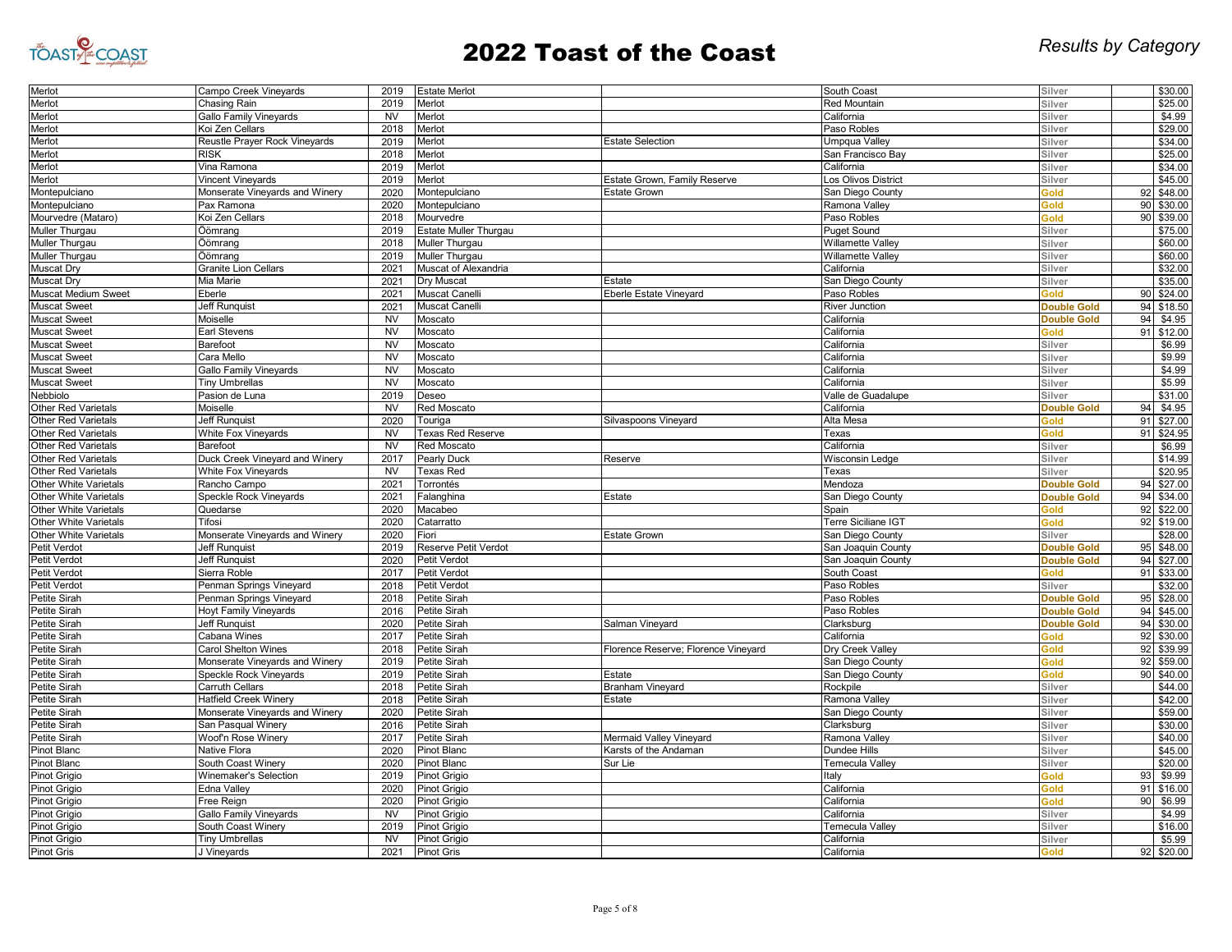

| Merlot                       | Campo Creek Vineyards            | 2019           | <b>Estate Merlot</b>  |                                     | South Coast                | Silver                     |    | \$30.00            |
|------------------------------|----------------------------------|----------------|-----------------------|-------------------------------------|----------------------------|----------------------------|----|--------------------|
| Merlot                       | Chasing Rain                     | 2019           | Merlot                |                                     | Red Mountain               | Silver                     |    | \$25.00            |
| Merlot                       | <b>Gallo Family Vineyards</b>    | <b>NV</b>      | Merlot                |                                     | California                 | Silver                     |    | \$4.99             |
| Merlot                       | Koi Zen Cellars                  | 2018           | Merlot                |                                     | Paso Robles                | Silver                     |    | \$29.00            |
| Merlot                       | Reustle Prayer Rock Vineyards    | 2019           | Merlot                | <b>Estate Selection</b>             | Umpqua Valley              | Silver                     |    | \$34.00            |
| Merlot                       | <b>RISK</b>                      | 2018           | Merlot                |                                     | San Francisco Bay          | Silver                     |    | \$25.00            |
| Merlot                       | Vina Ramona                      | 2019           | Merlot                |                                     | California                 | Silver                     |    | \$34.00            |
| Merlot                       | Vincent Vineyards                | 2019           | Merlot                | Estate Grown, Family Reserve        | Los Olivos District        | Silver                     |    | \$45.00            |
| Montepulciano                | Monserate Vineyards and Winery   | 2020           | Montepulciano         | <b>Estate Grown</b>                 | San Diego County           | Gold                       | 92 | \$48.00            |
| Montepulciano                | Pax Ramona                       | 2020           | Montepulciano         |                                     | Ramona Valley              | Gold                       | 90 | \$30.00            |
| Mourvedre (Mataro)           | Koi Zen Cellars                  | 2018           | Mourvedre             |                                     | Paso Robles                | <b>blo</b>                 | 90 | \$39.00            |
| Muller Thurgau               | Öömrang                          | 2019           | Estate Muller Thurgau |                                     | <b>Puget Sound</b>         | Silver                     |    | \$75.00            |
| Muller Thurgau               | Öömrang                          | 2018           | Muller Thurgau        |                                     | Willamette Valley          | Silver                     |    | \$60.00            |
| Muller Thurgau               | Öömrang                          | 2019           | Muller Thurgau        |                                     | Willamette Valley          | Silver                     |    | \$60.00            |
| Muscat Dry                   | <b>Granite Lion Cellars</b>      | 2021           | Muscat of Alexandria  |                                     | California                 | Silver                     |    | \$32.00            |
| Muscat Dry                   | Mia Marie                        | 2021           | Dry Muscat            | Estate                              | San Diego County           | Silver                     |    | \$35.00            |
| <b>Muscat Medium Sweet</b>   | Eberle                           | 2021           | <b>Muscat Canell</b>  | Eberle Estate Vineyard              | Paso Robles                | Gold                       | 90 | \$24.00            |
| <b>Muscat Sweet</b>          | <b>Jeff Runquist</b>             | 2021           | Muscat Canelli        |                                     | <b>River Junction</b>      | <b>Double Gold</b>         | 94 | \$18.50            |
| <b>Muscat Sweet</b>          | Moiselle                         | <b>NV</b>      | Moscato               |                                     | California                 | <b>Double Gold</b>         | 94 | \$4.95             |
| <b>Muscat Sweet</b>          | Earl Stevens                     | <b>NV</b>      | Moscato               |                                     | California                 | Gold                       | 91 | \$12.00            |
| <b>Muscat Sweet</b>          | Barefoot                         | N <sub>V</sub> | Moscato               |                                     | California                 | Silver                     |    | \$6.99             |
| <b>Muscat Sweet</b>          | Cara Mello                       | <b>NV</b>      | Moscato               |                                     | California                 | Silver                     |    | \$9.99             |
| <b>Muscat Sweet</b>          | <b>Gallo Family Vineyards</b>    | <b>NV</b>      | Moscato               |                                     | California                 | Silver                     |    | \$4.99             |
| <b>Muscat Sweet</b>          |                                  | <b>NV</b>      | Moscato               |                                     | California                 | Silver                     |    | \$5.99             |
| Nebbiolo                     | Tiny Umbrellas<br>Pasion de Luna | 2019           | Deseo                 |                                     | Valle de Guadalupe         | Silver                     |    | \$31.00            |
| Other Red Varietals          | Moiselle                         | <b>NV</b>      | Red Moscato           |                                     |                            |                            | 94 | \$4.95             |
| <b>Other Red Varietals</b>   |                                  | 2020           |                       |                                     | California<br>Alta Mesa    | <b>Double Gold</b><br>Gold | 91 | \$27.00            |
| <b>Other Red Varietals</b>   | Jeff Runquist                    | <b>NV</b>      | Touriga               | Silvaspoons Vineyard                | Texas                      | Gold                       | 91 | \$24.95            |
|                              | White Fox Vineyards              | <b>NV</b>      | Texas Red Reserve     |                                     | California                 |                            |    |                    |
| <b>Other Red Varietals</b>   | Barefoot                         | 2017           | Red Moscato           |                                     |                            | Silver                     |    | \$6.99             |
| Other Red Varietals          | Duck Creek Vineyard and Winery   | <b>NV</b>      | Pearly Duck           | Reserve                             | Wisconsin Ledge            | Silver                     |    | \$14.99<br>\$20.95 |
| <b>Other Red Varietals</b>   | <b>White Fox Vineyards</b>       |                | <b>Texas Red</b>      |                                     | Texas                      | Silver                     |    |                    |
| Other White Varietals        | Rancho Campo                     | 2021           | Torrontés             |                                     | Mendoza                    | <b>Double Gold</b>         | 94 | \$27.00            |
| Other White Varietals        | <b>Speckle Rock Vineyards</b>    | 2021           | Falanghina            | Estate                              | San Diego County           | <b>Double Gold</b>         | 94 | \$34.00            |
| <b>Other White Varietals</b> | Quedarse                         | 2020           | Macabeo               |                                     | Spain                      | <b>Gold</b>                | 92 | \$22.00            |
| Other White Varietals        | Tifosi                           | 2020           | Catarratto            |                                     | <b>Terre Siciliane IGT</b> | <b>blo</b>                 | 92 | \$19.00            |
| Other White Varietals        | Monserate Vineyards and Winery   | 2020           | Fiori                 | <b>Estate Grown</b>                 | San Diego County           | Silver                     |    | \$28.00            |
| Petit Verdot                 | Jeff Runquist                    | 2019           | Reserve Petit Verdot  |                                     | San Joaquin County         | <b>Double Gold</b>         | 95 | \$48.00            |
| Petit Verdot                 | <b>Jeff Runguist</b>             | 2020           | Petit Verdot          |                                     | San Joaquin County         | <b>Double Gold</b>         | 94 | \$27.00            |
| Petit Verdot                 | Sierra Roble                     | 2017           | Petit Verdot          |                                     | South Coast                | Gold                       | 91 | \$33.00            |
| Petit Verdot                 | Penman Springs Vineyard          | 2018           | Petit Verdot          |                                     | Paso Robles                | Silver                     |    | \$32.00            |
| Petite Sirah                 | Penman Springs Vineyard          | 2018           | Petite Sirah          |                                     | Paso Robles                | <b>Double Gold</b>         | 95 | \$28.00            |
| Petite Sirah                 | <b>Hoyt Family Vineyards</b>     | 2016           | Petite Sirah          |                                     | Paso Robles                | <b>Double Gold</b>         | 94 | \$45.00            |
| Petite Sirah                 | Jeff Runquist                    | 2020           | Petite Sirah          | Salman Vineyard                     | Clarksburg                 | <b>Double Gold</b>         | 94 | \$30.00            |
| Petite Sirah                 | Cabana Wines                     | 2017           | Petite Sirah          |                                     | California                 | Gold                       | 92 | \$30.00            |
| Petite Sirah                 | Carol Shelton Wines              | 2018           | Petite Sirah          | Florence Reserve; Florence Vineyard | Dry Creek Valley           | Gold                       | 92 | \$39.99            |
| Petite Sirah                 | Monserate Vineyards and Winery   | 2019           | Petite Sirah          |                                     | San Diego County           | <b>blo</b>                 | 92 | \$59.00            |
| Petite Sirah                 | <b>Speckle Rock Vineyards</b>    | 2019           | Petite Sirah          | Estate                              | San Diego County           | <b>Gold</b>                | 90 | \$40.00            |
| Petite Sirah                 | Carruth Cellars                  | 2018           | Petite Sirah          | <b>Branham Vineyard</b>             | Rockpile                   | Silver                     |    | \$44.00            |
| Petite Sirah                 | <b>Hatfield Creek Winery</b>     | 2018           | Petite Sirah          | Estate                              | Ramona Valley              | Silver                     |    | \$42.00            |
| Petite Sirah                 | Monserate Vineyards and Winery   | 2020           | Petite Sirah          |                                     | San Diego County           | Silver                     |    | \$59.00            |
| Petite Sirah                 | San Pasqual Winery               | 2016           | Petite Sirah          |                                     | Clarksburg                 | Silver                     |    | \$30.00            |
| Petite Sirah                 | Woof'n Rose Winery               | 2017           | <b>Petite Sirah</b>   | Mermaid Valley Vineyard             | Ramona Valley              | Silver                     |    | \$40.00            |
| Pinot Blanc                  | Native Flora                     | 2020           | <b>Pinot Blanc</b>    | Karsts of the Andaman               | <b>Dundee Hills</b>        | Silver                     |    | \$45.00            |
| <b>Pinot Blanc</b>           | South Coast Winery               | 2020           | <b>Pinot Blanc</b>    | Sur Lie                             | <b>Temecula Valley</b>     | Silver                     |    | \$20.00            |
| <b>Pinot Grigio</b>          | Winemaker's Selection            | 2019           | <b>Pinot Grigio</b>   |                                     | Italy                      | Gold                       | 93 | \$9.99             |
| Pinot Grigio                 | Edna Valley                      | 2020           | Pinot Grigio          |                                     | California                 | Gold                       | 91 | \$16.00            |
| Pinot Grigio                 | Free Reign                       | 2020           | Pinot Grigio          |                                     | California                 | Gold                       | 90 | \$6.99             |
| Pinot Grigio                 | <b>Gallo Family Vineyards</b>    | <b>NV</b>      | Pinot Grigio          |                                     | California                 | Silver                     |    | \$4.99             |
| Pinot Grigio                 | South Coast Winery               | 2019           | Pinot Grigio          |                                     | <b>Temecula Valley</b>     | Silver                     |    | \$16.00            |
| Pinot Grigio                 | <b>Tiny Umbrellas</b>            | <b>NV</b>      | Pinot Grigio          |                                     | California                 | Silver                     |    | \$5.99             |
| Pinot Gris                   | J Vineyards                      | 2021           | <b>Pinot Gris</b>     |                                     | California                 | Gold                       | 92 | \$20.00            |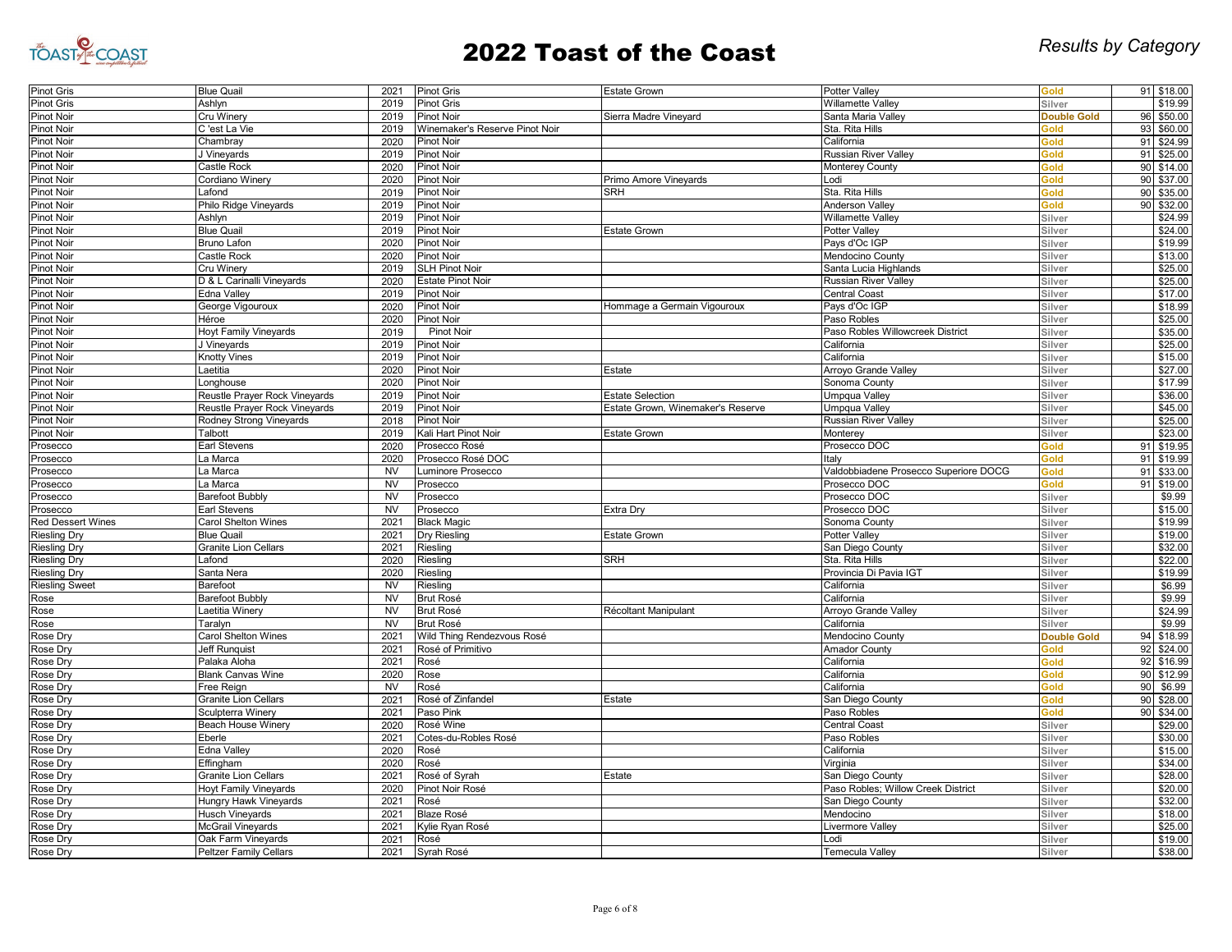

| Pinot Gris               | <b>Blue Quail</b>             | 2021                  | <b>Pinot Gris</b>              | <b>Estate Grown</b>               | <b>Potter Valley</b>                  | Gold               |          | 91 \$18.00 |
|--------------------------|-------------------------------|-----------------------|--------------------------------|-----------------------------------|---------------------------------------|--------------------|----------|------------|
| Pinot Gris               | Ashlyn                        | 2019                  | <b>Pinot Gris</b>              |                                   | <b>Willamette Valley</b>              | Silver             |          | \$19.99    |
| <b>Pinot Noir</b>        | Cru Winery                    | 2019                  | <b>Pinot Noir</b>              | Sierra Madre Vineyard             | Santa Maria Valley                    | <b>Double Gold</b> | 96       | \$50.00    |
| Pinot Noir               | C'est La Vie                  | 2019                  | Winemaker's Reserve Pinot Noir |                                   | Sta. Rita Hills                       | Gold               | 93       | \$60.00    |
| Pinot Noir               | Chambray                      | 2020                  | <b>Pinot Noir</b>              |                                   | California                            | Gold               | 91       | \$24.99    |
| <b>Pinot Noir</b>        | J Vineyards                   | 2019                  | <b>Pinot Noir</b>              |                                   | <b>Russian River Valley</b>           | Gold               | 91       | \$25.00    |
| Pinot Noir               | Castle Rock                   | 2020                  | <b>Pinot Noir</b>              |                                   | Monterey County                       | Gold               |          | 90 \$14.00 |
| Pinot Noir               | Cordiano Winery               | 2020                  | Pinot Noir                     | Primo Amore Vineyards             | Lodi                                  | Gold               | 90       | \$37.00    |
| Pinot Noir               | Lafond                        | 2019                  | <b>Pinot Noir</b>              | <b>SRH</b>                        | Sta. Rita Hills                       | Gold               | 90       | \$35.00    |
| Pinot Noir               | Philo Ridge Vineyards         | 2019                  | <b>Pinot Noir</b>              |                                   | <b>Anderson Valley</b>                | Gold               | 90       | \$32.00    |
| Pinot Noir               | Ashlvn                        | 2019                  | <b>Pinot Noir</b>              |                                   | <b>Willamette Valley</b>              | Silver             |          | \$24.99    |
| Pinot Noir               | <b>Blue Quail</b>             | 2019                  | <b>Pinot Noir</b>              | <b>Estate Grown</b>               | Potter Valley                         | Silver             |          | \$24.00    |
| Pinot Noir               | <b>Bruno Lafon</b>            | 2020                  | Pinot Noir                     |                                   | Pays d'Oc IGP                         | Silver             |          | \$19.99    |
| Pinot Noir               | Castle Rock                   | 2020                  | <b>Pinot Noir</b>              |                                   | Mendocino County                      | Silver             |          | \$13.00    |
| Pinot Noir               | Cru Winery                    | 2019                  | <b>SLH Pinot Noir</b>          |                                   | Santa Lucia Highlands                 | Silver             |          | \$25.00    |
| Pinot Noir               | D & L Carinalli Vineyards     | 2020                  | <b>Estate Pinot Noir</b>       |                                   | <b>Russian River Valley</b>           | Silver             |          | \$25.00    |
| Pinot Noir               | Edna Valley                   | 2019                  | <b>Pinot Noir</b>              |                                   | <b>Central Coast</b>                  | Silver             |          | \$17.00    |
| Pinot Noir               | George Vigouroux              | 2020                  | Pinot Noir                     | Hommage a Germain Vigouroux       | Pays d'Oc IGP                         | Silver             |          | \$18.99    |
| Pinot Noir               | Héroe                         | 2020                  | <b>Pinot Noir</b>              |                                   | Paso Robles                           | Silver             |          | \$25.00    |
| Pinot Noir               | <b>Hoyt Family Vineyards</b>  | 2019                  | <b>Pinot Noir</b>              |                                   | Paso Robles Willowcreek District      | Silver             |          | \$35.00    |
| Pinot Noir               | J Vineyards                   | 2019                  | <b>Pinot Noir</b>              |                                   | California                            | Silver             |          | \$25.00    |
| <b>Pinot Noir</b>        | Knotty Vines                  | 2019                  | <b>Pinot Noir</b>              |                                   | California                            | Silver             |          | \$15.00    |
| Pinot Noir               | Laetitia                      | 2020                  | <b>Pinot Noir</b>              | Estate                            | Arroyo Grande Valley                  | Silver             |          | \$27.00    |
| Pinot Noir               | Longhouse                     | 2020                  | Pinot Noir                     |                                   | Sonoma County                         | Silver             |          | \$17.99    |
| Pinot Noir               | Reustle Prayer Rock Vineyards | 2019                  | Pinot Noir                     | <b>Estate Selection</b>           | Umpqua Valley                         | Silver             |          | \$36.00    |
| <b>Pinot Noir</b>        | Reustle Prayer Rock Vineyards | 2019                  | Pinot Noir                     | Estate Grown, Winemaker's Reserve | Umpqua Valley                         | Silver             |          | \$45.00    |
|                          | Rodney Strong Vineyards       | 2018                  | <b>Pinot Noir</b>              |                                   |                                       |                    |          | \$25.00    |
| Pinot Noir               | Talbott                       | 2019                  |                                |                                   | <b>Russian River Valley</b>           | Silver<br>Silver   |          | \$23.00    |
| Pinot Noir               |                               |                       | Kali Hart Pinot Noir           | <b>Estate Grown</b>               | Monterey                              |                    |          |            |
| Prosecco                 | Earl Stevens                  | 2020                  | Prosecco Rosé                  |                                   | Prosecco DOC                          | <b>Gold</b>        | 91<br>91 | \$19.95    |
| Prosecco                 | La Marca                      | 2020                  | Prosecco Rosé DOC              |                                   | Italy                                 | Gold               |          | \$19.99    |
| Prosecco                 | La Marca                      | <b>NV</b>             | Luminore Prosecco              |                                   | Valdobbiadene Prosecco Superiore DOCG | Gold               | 91       | \$33.00    |
| Prosecco                 | La Marca                      | $\overline{\text{N}}$ | Prosecco                       |                                   | Prosecco DOC                          | Gold               | 91       | \$19.00    |
| Prosecco                 | <b>Barefoot Bubbly</b>        | <b>NV</b>             | Prosecco                       |                                   | Prosecco DOC                          | Silver             |          | \$9.99     |
| Prosecco                 | Earl Stevens                  | <b>NV</b>             | Prosecco                       | Extra Dry                         | Prosecco DOC                          | Silver             |          | \$15.00    |
| <b>Red Dessert Wines</b> | <b>Carol Shelton Wines</b>    | 2021                  | <b>Black Magic</b>             |                                   | Sonoma County                         | Silver             |          | \$19.99    |
| <b>Riesling Dry</b>      | <b>Blue Quail</b>             | 2021                  | Dry Riesling                   | Estate Grown                      | Potter Valley                         | Silver             |          | \$19.00    |
| <b>Riesling Dry</b>      | <b>Granite Lion Cellars</b>   | 2021                  | Riesling                       |                                   | San Diego County                      | Silver             |          | \$32.00    |
| <b>Riesling Dry</b>      | Lafond                        | 2020                  | Riesling                       | <b>SRH</b>                        | Sta. Rita Hills                       | Silver             |          | \$22.00    |
| <b>Riesling Dry</b>      | Santa Nera                    | 2020                  | Riesling                       |                                   | Provincia Di Pavia IGT                | Silver             |          | \$19.99    |
| <b>Riesling Sweet</b>    | Barefoot                      | <b>NV</b>             | Riesling                       |                                   | California                            | Silver             |          | \$6.99     |
| Rose                     | <b>Barefoot Bubbly</b>        | <b>NV</b>             | <b>Brut Rosé</b>               |                                   | California                            | Silver             |          | \$9.99     |
| Rose                     | Laetitia Winery               | N <sub>V</sub>        | <b>Brut Rosé</b>               | Récoltant Manipulant              | Arroyo Grande Valley                  | Silver             |          | \$24.99    |
| Rose                     | Taralyn                       | <b>NV</b>             | <b>Brut Rosé</b>               |                                   | California                            | Silver             |          | \$9.99     |
| Rose Dry                 | Carol Shelton Wines           | 2021                  | Wild Thing Rendezvous Rosé     |                                   | Mendocino County                      | <b>Double Gold</b> | 94       | \$18.99    |
| Rose Dry                 | <b>Jeff Runquist</b>          | 2021                  | Rosé of Primitivo              |                                   | <b>Amador County</b>                  | Gold               | 92       | \$24.00    |
| Rose Dry                 | Palaka Aloha                  | 2021                  | Rosé                           |                                   | California                            | Gold               | 92       | \$16.99    |
| Rose Dry                 | <b>Blank Canvas Wine</b>      | 2020                  | Rose                           |                                   | California                            | Gold               |          | 90 \$12.99 |
| Rose Dry                 | Free Reign                    | <b>NV</b>             | Rosé                           |                                   | California                            | Gold               | 90       | \$6.99     |
| Rose Dry                 | <b>Granite Lion Cellars</b>   | 2021                  | Rosé of Zinfandel              | Estate                            | San Diego County                      | Gold               | 90       | \$28.00    |
| Rose Dry                 | Sculpterra Winery             | 2021                  | Paso Pink                      |                                   | Paso Robles                           | Gold               | 90       | \$34.00    |
| Rose Dry                 | <b>Beach House Winery</b>     | 2020                  | Rosé Wine                      |                                   | <b>Central Coast</b>                  | Silver             |          | \$29.00    |
| Rose Dry                 | Eberle                        | 2021                  | Cotes-du-Robles Rosé           |                                   | Paso Robles                           | Silver             |          | \$30.00    |
| Rose Dry                 | Edna Valley                   | 2020                  | Rosé                           |                                   | California                            | Silver             |          | \$15.00    |
| Rose Dry                 | Effingham                     | 2020                  | Rosé                           |                                   | Virginia                              | Silver             |          | \$34.00    |
| Rose Dry                 | <b>Granite Lion Cellars</b>   | 2021                  | Rosé of Syrah                  | Estate                            | San Diego County                      | Silver             |          | \$28.00    |
| Rose Dry                 | Hoyt Family Vineyards         | 2020                  | Pinot Noir Rosé                |                                   | Paso Robles; Willow Creek District    | Silver             |          | \$20.00    |
| Rose Dry                 | Hungry Hawk Vineyards         | 2021                  | Rosé                           |                                   | San Diego County                      | Silver             |          | \$32.00    |
| Rose Dry                 | Husch Vineyards               | 2021                  | <b>Blaze Rosé</b>              |                                   | Mendocino                             | Silver             |          | \$18.00    |
| Rose Dry                 | <b>McGrail Vineyards</b>      | 2021                  | Kylie Ryan Rosé                |                                   | Livermore Valley                      | Silver             |          | \$25.00    |
| Rose Dry                 | Oak Farm Vineyards            | 2021                  | Rosé                           |                                   | Lodi                                  | Silver             |          | \$19.00    |
| Rose Dry                 | <b>Peltzer Family Cellars</b> | 2021                  | Syrah Rosé                     |                                   | <b>Temecula Valley</b>                | Silver             |          | \$38.00    |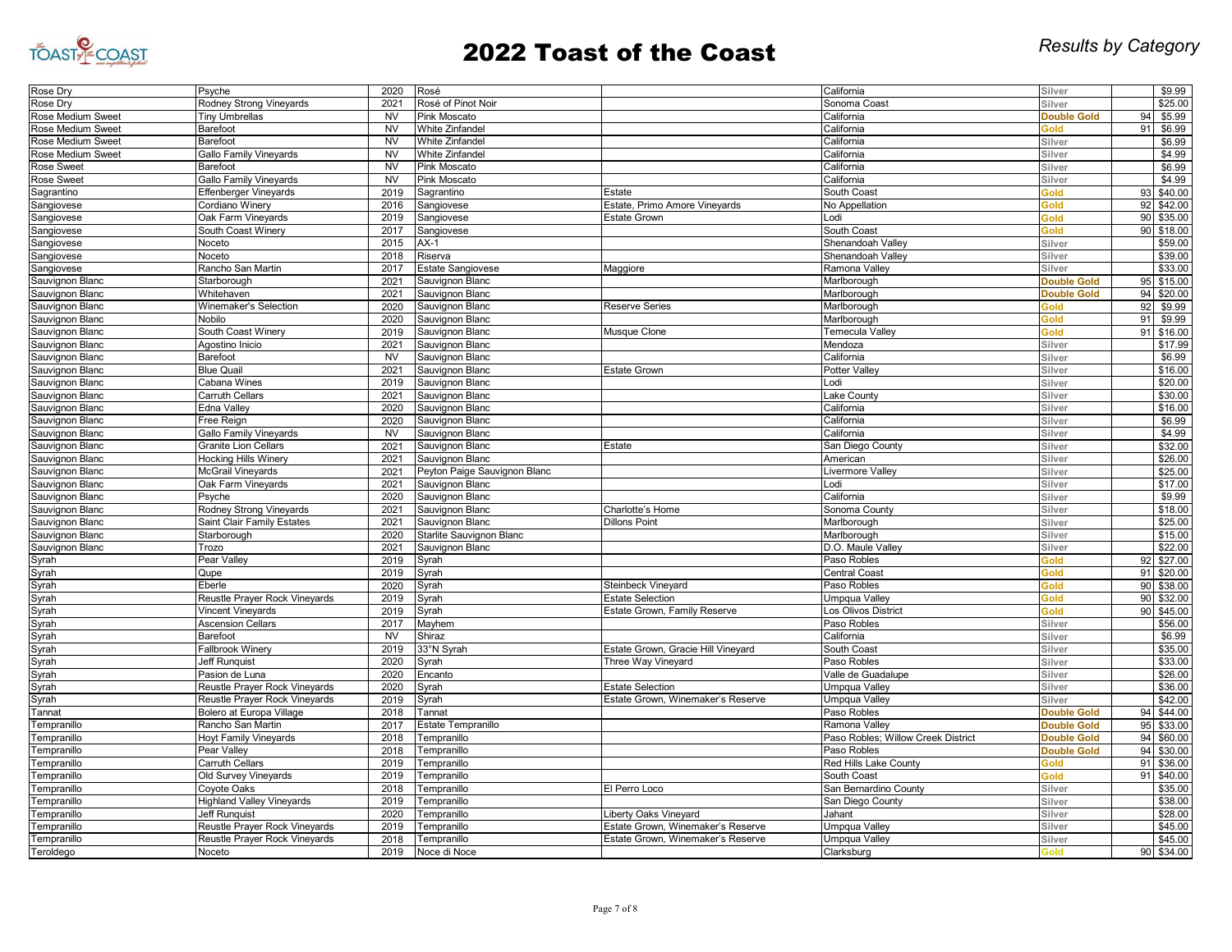

| Rose Dry                           | Psyche                               | 2020      | Rosé                         |                                    | California                         | Silver             |    | \$9.99     |
|------------------------------------|--------------------------------------|-----------|------------------------------|------------------------------------|------------------------------------|--------------------|----|------------|
| Rose Dry                           | Rodney Strong Vineyards              | 2021      | Rosé of Pinot Noir           |                                    | Sonoma Coast                       | Silver             |    | \$25.00    |
| Rose Medium Sweet                  | <b>Tiny Umbrellas</b>                | <b>NV</b> | Pink Moscato                 |                                    | California                         | <b>Double Gold</b> | 94 | \$5.99     |
| Rose Medium Sweet                  | Barefoot                             | <b>NV</b> | <b>White Zinfandel</b>       |                                    | California                         | Gold               | 9  | \$6.99     |
| Rose Medium Sweet                  | Barefoot                             | <b>NV</b> | <b>White Zinfandel</b>       |                                    | California                         | Silver             |    | \$6.99     |
| Rose Medium Sweet                  | Gallo Family Vineyards               | <b>NV</b> | White Zinfandel              |                                    | California                         | Silver             |    | \$4.99     |
| Rose Sweet                         | Barefoot                             | <b>NV</b> | Pink Moscato                 |                                    | California                         | Silver             |    | \$6.99     |
| Rose Sweet                         | <b>Gallo Family Vineyards</b>        | <b>NV</b> | <b>Pink Moscato</b>          |                                    | California                         | Silver             |    | \$4.99     |
| Sagrantino                         | Effenberger Vineyards                | 2019      | Sagrantino                   | Estate                             | South Coast                        | Gold               | 93 | \$40.00    |
| Sangiovese                         | Cordiano Winery                      | 2016      | Sangiovese                   | Estate, Primo Amore Vineyards      | No Appellation                     | Gold               | 92 | \$42.00    |
| Sangiovese                         | Oak Farm Vineyards                   | 2019      | Sangiovese                   | <b>Estate Grown</b>                | Lodi                               | Gold               | 90 | \$35.00    |
| Sangiovese                         | South Coast Winery                   | 2017      | Sangiovese                   |                                    | South Coast                        | Gold               |    | 90 \$18.00 |
| Sangiovese                         | Noceto                               | 2015      | $AX-1$                       |                                    | Shenandoah Valley                  | Silver             |    | \$59.00    |
| Sangiovese                         | Noceto                               | 2018      | Riserva                      |                                    | Shenandoah Valley                  | Silver             |    | \$39.00    |
| Sangiovese                         | Rancho San Martin                    | 2017      | <b>Estate Sangiovese</b>     | Maggiore                           | Ramona Valley                      | Silver             |    | \$33.00    |
| Sauvignon Blanc                    | Starborough                          | 2021      | Sauvignon Blanc              |                                    | Marlborough                        | <b>Double Gold</b> | 95 | \$15.00    |
| Sauvignon Blanc                    | Whitehaven                           | 2021      | Sauvignon Blanc              |                                    | Marlborough                        | <b>Double Gold</b> | 94 | \$20.00    |
| Sauvignon Blanc                    | Winemaker's Selection                | 2020      | Sauvignon Blanc              | <b>Reserve Series</b>              | Marlborough                        | Gold               | 92 | \$9.99     |
| Sauvignon Blanc                    | Nobilo                               | 2020      | Sauvignon Blanc              |                                    | Marlborough                        | Gold               | 91 | \$9.99     |
| Sauvignon Blanc                    | South Coast Winery                   | 2019      | Sauvignon Blanc              | Musque Clone                       | Temecula Valley                    | Gold               | 91 | \$16.00    |
| Sauvignon Blanc                    | Agostino Inicio                      | 2021      | Sauvignon Blanc              |                                    | Mendoza                            | Silver             |    | \$17.99    |
|                                    |                                      | <b>NV</b> |                              |                                    |                                    | Silver             |    | \$6.99     |
| Sauvignon Blanc<br>Sauvignon Blanc | Barefoot<br><b>Blue Quail</b>        | 2021      | Sauvignon Blanc              |                                    | California                         | Silver             |    | \$16.00    |
|                                    |                                      |           | Sauvignon Blanc              | <b>Estate Grown</b>                | Potter Valley                      |                    |    |            |
| Sauvignon Blanc                    | Cabana Wines                         | 2019      | Sauvignon Blanc              |                                    | Lodi                               | Silver             |    | \$20.00    |
| Sauvignon Blanc                    | <b>Carruth Cellars</b>               | 2021      | Sauvignon Blanc              |                                    | Lake County                        | Silver             |    | \$30.00    |
| Sauvignon Blanc                    | Edna Valley                          | 2020      | Sauvignon Blanc              |                                    | California                         | Silver             |    | \$16.00    |
| Sauvignon Blanc                    | Free Reign                           | 2020      | Sauvignon Blanc              |                                    | California                         | Silver             |    | \$6.99     |
| Sauvignon Blanc                    | <b>Gallo Family Vineyards</b>        | <b>NV</b> | Sauvignon Blanc              |                                    | California                         | Silver             |    | \$4.99     |
| Sauvignon Blanc                    | <b>Granite Lion Cellars</b>          | 2021      | Sauvignon Blanc              | Estate                             | San Diego County                   | Silver             |    | \$32.00    |
| Sauvignon Blanc                    | <b>Hocking Hills Winery</b>          | 2021      | Sauvignon Blanc              |                                    | American                           | Silver             |    | \$26.00    |
| Sauvignon Blanc                    | McGrail Vineyards                    | 2021      | Peyton Paige Sauvignon Blanc |                                    | Livermore Valley                   | Silver             |    | \$25.00    |
| Sauvignon Blanc                    | Oak Farm Vineyards                   | 2021      | Sauvignon Blanc              |                                    | Lodi                               | Silver             |    | \$17.00    |
| Sauvignon Blanc                    | Psyche                               | 2020      | Sauvignon Blanc              |                                    | California                         | Silver             |    | \$9.99     |
| Sauvignon Blanc                    | Rodney Strong Vineyards              | 2021      | Sauvignon Blanc              | Charlotte's Home                   | Sonoma County                      | Silver             |    | \$18.00    |
| Sauvignon Blanc                    | Saint Clair Family Estates           | 2021      | Sauvignon Blanc              | <b>Dillons Point</b>               | Marlborough                        | Silver             |    | \$25.00    |
| Sauvignon Blanc                    | Starborough                          | 2020      | Starlite Sauvignon Blanc     |                                    | Marlborough                        | Silver             |    | \$15.00    |
| Sauvignon Blanc                    | Trozo                                | 2021      | Sauvignon Blanc              |                                    | D.O. Maule Valley                  | Silver             |    | \$22.00    |
| Syrah                              | Pear Valley                          | 2019      | Syrah                        |                                    | Paso Robles                        | Gold               | 92 | \$27.00    |
| Syrah                              | Qupe                                 | 2019      | Syrah                        |                                    | <b>Central Coast</b>               | Gold               | 91 | \$20.00    |
| Syrah                              | Eberle                               | 2020      | Syrah                        | <b>Steinbeck Vineyard</b>          | Paso Robles                        | Gold               | 90 | \$38.00    |
| Syrah                              | Reustle Prayer Rock Vineyards        | 2019      | Syrah                        | <b>Estate Selection</b>            | Umpqua Valley                      | Gold               | 90 | \$32.00    |
| Syrah                              | Vincent Vineyards                    | 2019      | Syrah                        | Estate Grown, Family Reserve       | Los Olivos District                | Gold               | 90 | \$45.00    |
| Syrah                              | <b>Ascension Cellars</b>             | 2017      | Mayhem                       |                                    | Paso Robles                        | Silver             |    | \$56.00    |
| Syrah                              | Barefoot                             | <b>NV</b> | Shiraz                       |                                    | California                         | Silver             |    | \$6.99     |
| Syrah                              | Fallbrook Winery                     | 2019      | 33°N Syrah                   | Estate Grown, Gracie Hill Vineyard | South Coast                        | Silver             |    | \$35.00    |
| Syrah                              | Jeff Runquist                        | 2020      | Syrah                        | Three Way Vineyard                 | Paso Robles                        | Silver             |    | \$33.00    |
| Syrah                              | Pasion de Luna                       | 2020      | Encanto                      |                                    | Valle de Guadalupe                 | Silver             |    | \$26.00    |
| Syrah                              | <b>Reustle Prayer Rock Vineyards</b> | 2020      | Syrah                        | <b>Estate Selection</b>            | Umpqua Valley                      | Silver             |    | \$36.00    |
| Syrah                              | Reustle Prayer Rock Vineyards        | 2019      | Svrah                        | Estate Grown, Winemaker's Reserve  | Umpqua Valley                      | Silver             |    | \$42.00    |
| Tannat                             | Bolero at Europa Village             | 2018      | Tannat                       |                                    | Paso Robles                        | <b>Double Gold</b> | 94 | \$44.00    |
| Tempranillo                        | Rancho San Martin                    | 2017      | Estate Tempranillo           |                                    | Ramona Valley                      | <b>Double Gold</b> | 95 | \$33.00    |
| Tempranillo                        | <b>Hoyt Family Vineyards</b>         | 2018      | Tempranillo                  |                                    | Paso Robles; Willow Creek District | <b>Double Gold</b> | 94 | \$60.00    |
| Tempranillo                        | Pear Valley                          | 2018      | Tempranillo                  |                                    | Paso Robles                        | <b>Double Gold</b> | 94 | \$30.00    |
| Tempranillo                        | Carruth Cellars                      | 2019      | Tempranillo                  |                                    | Red Hills Lake County              | Gold               | 91 | \$36.00    |
| Tempranillo                        | Old Survey Vineyards                 | 2019      | Tempranillo                  |                                    | South Coast                        | Gold               |    | 91 \$40.00 |
| Tempranillo                        | Coyote Oaks                          | 2018      | Tempranillo                  | El Perro Loco                      | San Bernardino County              | Silver             |    | \$35.00    |
| Tempranillo                        | <b>Highland Valley Vineyards</b>     | 2019      | Tempranillo                  |                                    | San Diego County                   | Silver             |    | \$38.00    |
| Tempranillo                        | Jeff Runquist                        | 2020      | Tempranillo                  | Liberty Oaks Vineyard              | Jahant                             | Silver             |    | \$28.00    |
| Tempranillo                        | Reustle Prayer Rock Vineyards        | 2019      | <b>Fempranillo</b>           | Estate Grown, Winemaker's Reserve  | Umpqua Valley                      | Silver             |    | \$45.00    |
| Tempranillo                        | Reustle Prayer Rock Vineyards        | 2018      | Tempranillo                  | Estate Grown, Winemaker's Reserve  | Umpqua Valley                      | Silver             |    | \$45.00    |
| Teroldego                          | Noceto                               | 2019      | Noce di Noce                 |                                    | Clarksburg                         | Gold               |    | 90 \$34.00 |
|                                    |                                      |           |                              |                                    |                                    |                    |    |            |